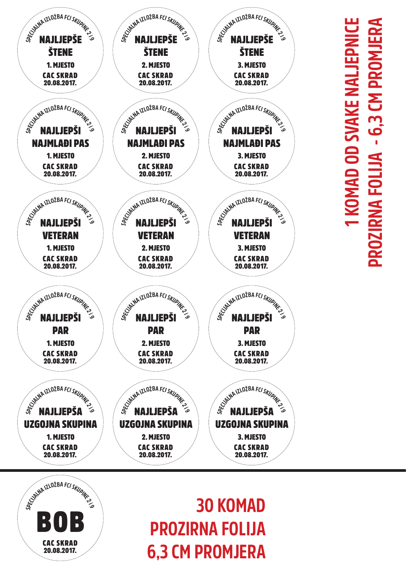

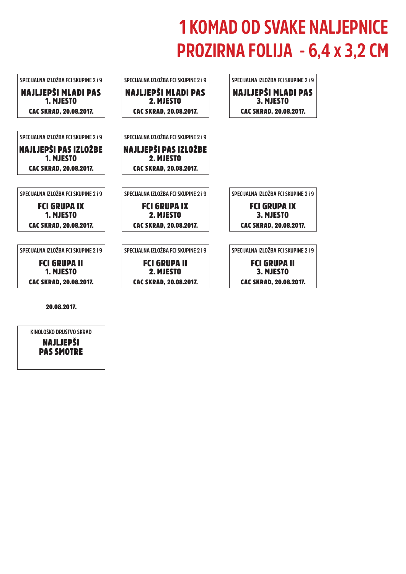**KINOLOŠKO DRUŠTVO SKRAD**



## 20.08.2017.

NAJLJEPŠI PAS SMOTRE

## **1 KOMAD OD SVAKE NALJEPNICE PROZIRNA FOLIJA - 6,4 x 3,2 CM**